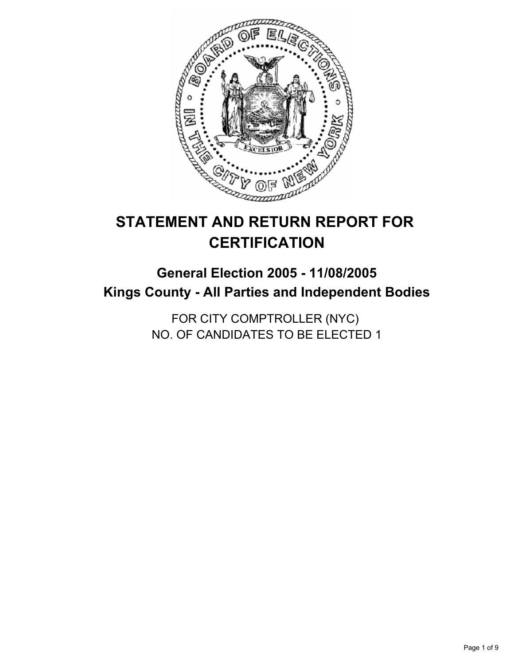

# **STATEMENT AND RETURN REPORT FOR CERTIFICATION**

## **General Election 2005 - 11/08/2005 Kings County - All Parties and Independent Bodies**

FOR CITY COMPTROLLER (NYC) NO. OF CANDIDATES TO BE ELECTED 1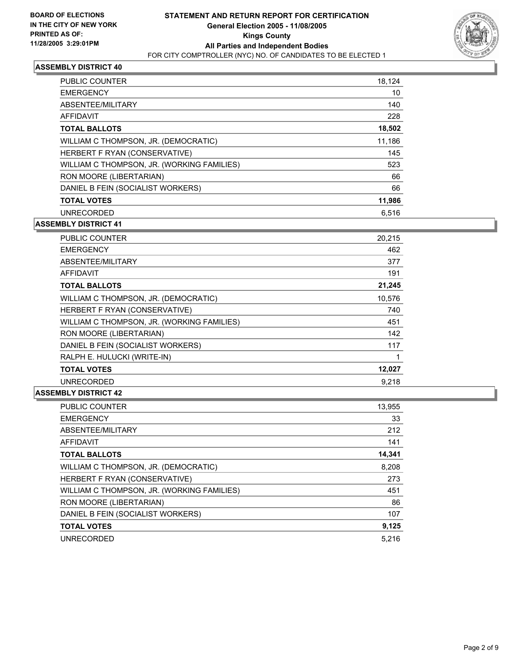

| PUBLIC COUNTER                             | 18,124 |
|--------------------------------------------|--------|
| <b>EMERGENCY</b>                           | 10     |
| ABSENTEE/MILITARY                          | 140    |
| AFFIDAVIT                                  | 228    |
| <b>TOTAL BALLOTS</b>                       | 18,502 |
| WILLIAM C THOMPSON, JR. (DEMOCRATIC)       | 11,186 |
| HERBERT F RYAN (CONSERVATIVE)              | 145    |
| WILLIAM C THOMPSON, JR. (WORKING FAMILIES) | 523    |
| RON MOORE (LIBERTARIAN)                    | 66     |
| DANIEL B FEIN (SOCIALIST WORKERS)          | 66     |
| <b>TOTAL VOTES</b>                         | 11,986 |
| <b>UNRECORDED</b>                          | 6.516  |

#### **ASSEMBLY DISTRICT 41**

| PUBLIC COUNTER                             | 20,215 |
|--------------------------------------------|--------|
| <b>EMERGENCY</b>                           | 462    |
| ABSENTEE/MILITARY                          | 377    |
| AFFIDAVIT                                  | 191    |
| <b>TOTAL BALLOTS</b>                       | 21,245 |
| WILLIAM C THOMPSON, JR. (DEMOCRATIC)       | 10,576 |
| HERBERT F RYAN (CONSERVATIVE)              | 740    |
| WILLIAM C THOMPSON, JR. (WORKING FAMILIES) | 451    |
| RON MOORE (LIBERTARIAN)                    | 142    |
| DANIEL B FEIN (SOCIALIST WORKERS)          | 117    |
| RALPH E. HULUCKI (WRITE-IN)                |        |
| <b>TOTAL VOTES</b>                         | 12,027 |
| <b>UNRECORDED</b>                          | 9,218  |

| <b>PUBLIC COUNTER</b>                      | 13,955 |
|--------------------------------------------|--------|
| <b>EMERGENCY</b>                           | 33     |
| ABSENTEE/MILITARY                          | 212    |
| AFFIDAVIT                                  | 141    |
| <b>TOTAL BALLOTS</b>                       | 14,341 |
| WILLIAM C THOMPSON, JR. (DEMOCRATIC)       | 8,208  |
| HERBERT F RYAN (CONSERVATIVE)              | 273    |
| WILLIAM C THOMPSON, JR. (WORKING FAMILIES) | 451    |
| RON MOORE (LIBERTARIAN)                    | 86     |
| DANIEL B FEIN (SOCIALIST WORKERS)          | 107    |
| <b>TOTAL VOTES</b>                         | 9,125  |
| <b>UNRECORDED</b>                          | 5.216  |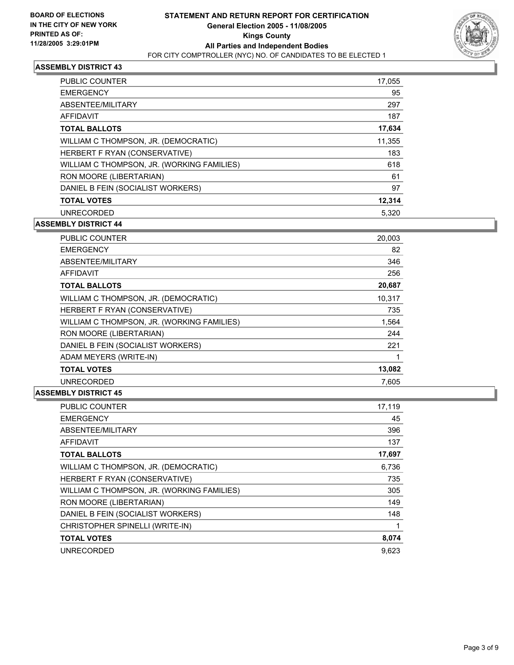

| PUBLIC COUNTER                             | 17,055 |
|--------------------------------------------|--------|
| <b>EMERGENCY</b>                           | 95     |
| ABSENTEE/MILITARY                          | 297    |
| AFFIDAVIT                                  | 187    |
| <b>TOTAL BALLOTS</b>                       | 17,634 |
| WILLIAM C THOMPSON, JR. (DEMOCRATIC)       | 11,355 |
| HERBERT F RYAN (CONSERVATIVE)              | 183    |
| WILLIAM C THOMPSON, JR. (WORKING FAMILIES) | 618    |
| RON MOORE (LIBERTARIAN)                    | 61     |
| DANIEL B FEIN (SOCIALIST WORKERS)          | 97     |
| <b>TOTAL VOTES</b>                         | 12,314 |
| <b>UNRECORDED</b>                          | 5.320  |

### **ASSEMBLY DISTRICT 44**

| PUBLIC COUNTER                             | 20,003 |  |
|--------------------------------------------|--------|--|
| <b>EMERGENCY</b>                           | 82     |  |
| ABSENTEE/MILITARY                          | 346    |  |
| AFFIDAVIT                                  | 256    |  |
| <b>TOTAL BALLOTS</b>                       | 20,687 |  |
| WILLIAM C THOMPSON, JR. (DEMOCRATIC)       | 10.317 |  |
| HERBERT F RYAN (CONSERVATIVE)              | 735    |  |
| WILLIAM C THOMPSON, JR. (WORKING FAMILIES) | 1,564  |  |
| RON MOORE (LIBERTARIAN)                    | 244    |  |
| DANIEL B FEIN (SOCIALIST WORKERS)          | 221    |  |
| ADAM MEYERS (WRITE-IN)                     |        |  |
| <b>TOTAL VOTES</b>                         | 13,082 |  |
| <b>UNRECORDED</b>                          | 7,605  |  |

| <b>PUBLIC COUNTER</b>                      | 17,119 |
|--------------------------------------------|--------|
| <b>EMERGENCY</b>                           | 45     |
| ABSENTEE/MILITARY                          | 396    |
| <b>AFFIDAVIT</b>                           | 137    |
| <b>TOTAL BALLOTS</b>                       | 17,697 |
| WILLIAM C THOMPSON, JR. (DEMOCRATIC)       | 6,736  |
| HERBERT F RYAN (CONSERVATIVE)              | 735    |
| WILLIAM C THOMPSON, JR. (WORKING FAMILIES) | 305    |
| RON MOORE (LIBERTARIAN)                    | 149    |
| DANIEL B FEIN (SOCIALIST WORKERS)          | 148    |
| CHRISTOPHER SPINELLI (WRITE-IN)            |        |
| <b>TOTAL VOTES</b>                         | 8,074  |
| <b>UNRECORDED</b>                          | 9.623  |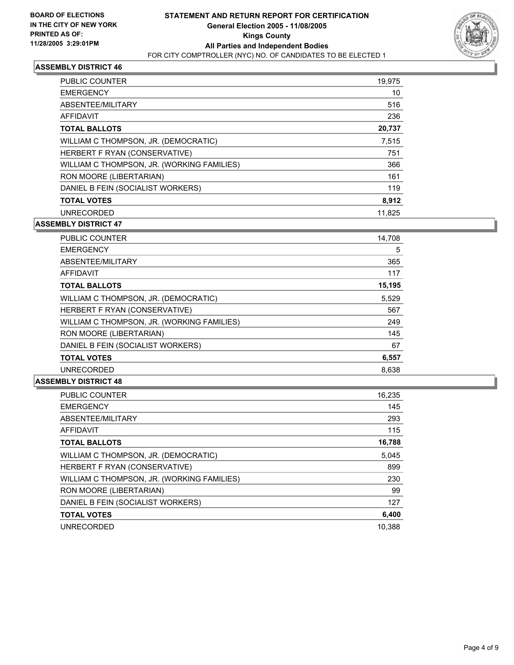

| PUBLIC COUNTER                             | 19,975 |
|--------------------------------------------|--------|
| <b>EMERGENCY</b>                           | 10     |
| ABSENTEE/MILITARY                          | 516    |
| AFFIDAVIT                                  | 236    |
| <b>TOTAL BALLOTS</b>                       | 20,737 |
| WILLIAM C THOMPSON, JR. (DEMOCRATIC)       | 7,515  |
| HERBERT F RYAN (CONSERVATIVE)              | 751    |
| WILLIAM C THOMPSON, JR. (WORKING FAMILIES) | 366    |
| RON MOORE (LIBERTARIAN)                    | 161    |
| DANIEL B FEIN (SOCIALIST WORKERS)          | 119    |
| <b>TOTAL VOTES</b>                         | 8,912  |
| <b>UNRECORDED</b>                          | 11.825 |

#### **ASSEMBLY DISTRICT 47**

| PUBLIC COUNTER                             | 14,708 |  |
|--------------------------------------------|--------|--|
| <b>EMERGENCY</b>                           | 5      |  |
| ABSENTEE/MILITARY                          | 365    |  |
| <b>AFFIDAVIT</b>                           | 117    |  |
| <b>TOTAL BALLOTS</b>                       | 15,195 |  |
| WILLIAM C THOMPSON, JR. (DEMOCRATIC)       | 5,529  |  |
| HERBERT F RYAN (CONSERVATIVE)              | 567    |  |
| WILLIAM C THOMPSON, JR. (WORKING FAMILIES) | 249    |  |
| RON MOORE (LIBERTARIAN)                    | 145    |  |
| DANIEL B FEIN (SOCIALIST WORKERS)          | 67     |  |
| <b>TOTAL VOTES</b>                         | 6,557  |  |
| <b>UNRECORDED</b>                          | 8,638  |  |

| <b>PUBLIC COUNTER</b>                      | 16,235 |
|--------------------------------------------|--------|
| <b>EMERGENCY</b>                           | 145    |
| ABSENTEE/MILITARY                          | 293    |
| <b>AFFIDAVIT</b>                           | 115    |
| <b>TOTAL BALLOTS</b>                       | 16,788 |
| WILLIAM C THOMPSON, JR. (DEMOCRATIC)       | 5,045  |
| HERBERT F RYAN (CONSERVATIVE)              | 899    |
| WILLIAM C THOMPSON, JR. (WORKING FAMILIES) | 230    |
| RON MOORE (LIBERTARIAN)                    | 99     |
| DANIEL B FEIN (SOCIALIST WORKERS)          | 127    |
| <b>TOTAL VOTES</b>                         | 6,400  |
| <b>UNRECORDED</b>                          | 10.388 |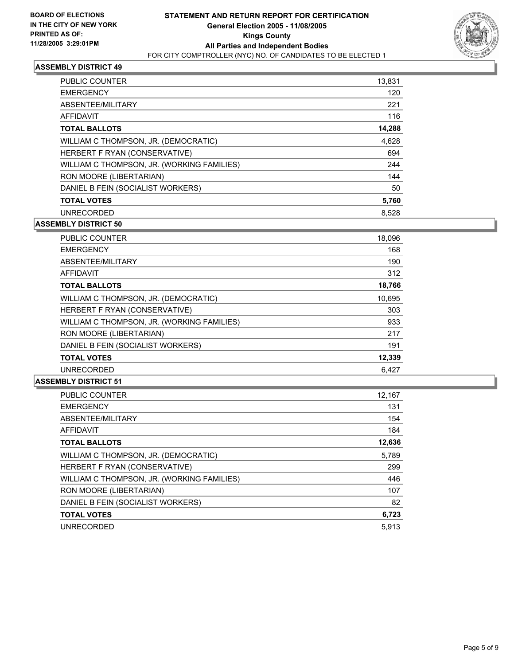

| PUBLIC COUNTER                             | 13,831 |
|--------------------------------------------|--------|
| <b>EMERGENCY</b>                           | 120    |
| ABSENTEE/MILITARY                          | 221    |
| AFFIDAVIT                                  | 116    |
| <b>TOTAL BALLOTS</b>                       | 14,288 |
| WILLIAM C THOMPSON, JR. (DEMOCRATIC)       | 4,628  |
| HERBERT F RYAN (CONSERVATIVE)              | 694    |
| WILLIAM C THOMPSON, JR. (WORKING FAMILIES) | 244    |
| RON MOORE (LIBERTARIAN)                    | 144    |
| DANIEL B FEIN (SOCIALIST WORKERS)          | 50     |
| <b>TOTAL VOTES</b>                         | 5,760  |
| <b>UNRECORDED</b>                          | 8,528  |

#### **ASSEMBLY DISTRICT 50**

| PUBLIC COUNTER                             | 18,096 |
|--------------------------------------------|--------|
| <b>EMERGENCY</b>                           | 168    |
| ABSENTEE/MILITARY                          | 190    |
| AFFIDAVIT                                  | 312    |
| <b>TOTAL BALLOTS</b>                       | 18,766 |
| WILLIAM C THOMPSON, JR. (DEMOCRATIC)       | 10,695 |
| HERBERT F RYAN (CONSERVATIVE)              | 303    |
| WILLIAM C THOMPSON, JR. (WORKING FAMILIES) | 933    |
| RON MOORE (LIBERTARIAN)                    | 217    |
| DANIEL B FEIN (SOCIALIST WORKERS)          | 191    |
| <b>TOTAL VOTES</b>                         | 12,339 |
| <b>UNRECORDED</b>                          | 6.427  |

| PUBLIC COUNTER                             | 12,167 |
|--------------------------------------------|--------|
| <b>EMERGENCY</b>                           | 131    |
| ABSENTEE/MILITARY                          | 154    |
| <b>AFFIDAVIT</b>                           | 184    |
| <b>TOTAL BALLOTS</b>                       | 12,636 |
| WILLIAM C THOMPSON, JR. (DEMOCRATIC)       | 5,789  |
| HERBERT F RYAN (CONSERVATIVE)              | 299    |
| WILLIAM C THOMPSON, JR. (WORKING FAMILIES) | 446    |
| RON MOORE (LIBERTARIAN)                    | 107    |
| DANIEL B FEIN (SOCIALIST WORKERS)          | 82     |
| <b>TOTAL VOTES</b>                         | 6,723  |
| <b>UNRECORDED</b>                          | 5.913  |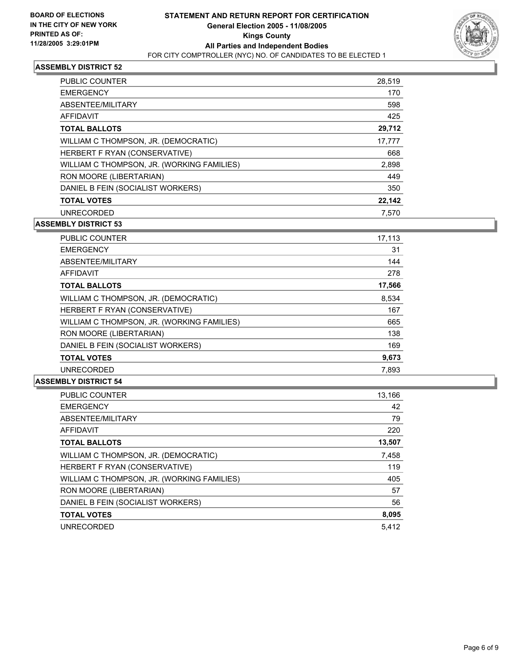

| PUBLIC COUNTER                             | 28,519 |
|--------------------------------------------|--------|
| <b>EMERGENCY</b>                           | 170    |
| ABSENTEE/MILITARY                          | 598    |
| AFFIDAVIT                                  | 425    |
| <b>TOTAL BALLOTS</b>                       | 29,712 |
| WILLIAM C THOMPSON, JR. (DEMOCRATIC)       | 17,777 |
| HERBERT F RYAN (CONSERVATIVE)              | 668    |
| WILLIAM C THOMPSON, JR. (WORKING FAMILIES) | 2,898  |
| RON MOORE (LIBERTARIAN)                    | 449    |
| DANIEL B FEIN (SOCIALIST WORKERS)          | 350    |
| <b>TOTAL VOTES</b>                         | 22,142 |
| <b>UNRECORDED</b>                          | 7.570  |

#### **ASSEMBLY DISTRICT 53**

| PUBLIC COUNTER                             | 17,113 |
|--------------------------------------------|--------|
| <b>EMERGENCY</b>                           | 31     |
| ABSENTEE/MILITARY                          | 144    |
| AFFIDAVIT                                  | 278    |
| <b>TOTAL BALLOTS</b>                       | 17,566 |
| WILLIAM C THOMPSON, JR. (DEMOCRATIC)       | 8,534  |
| HERBERT F RYAN (CONSERVATIVE)              | 167    |
| WILLIAM C THOMPSON, JR. (WORKING FAMILIES) | 665    |
| RON MOORE (LIBERTARIAN)                    | 138    |
| DANIEL B FEIN (SOCIALIST WORKERS)          | 169    |
| <b>TOTAL VOTES</b>                         | 9,673  |
| <b>UNRECORDED</b>                          | 7,893  |

| PUBLIC COUNTER                             | 13,166 |
|--------------------------------------------|--------|
| <b>EMERGENCY</b>                           | 42     |
| ABSENTEE/MILITARY                          | 79     |
| <b>AFFIDAVIT</b>                           | 220    |
| <b>TOTAL BALLOTS</b>                       | 13,507 |
| WILLIAM C THOMPSON, JR. (DEMOCRATIC)       | 7,458  |
| HERBERT F RYAN (CONSERVATIVE)              | 119    |
| WILLIAM C THOMPSON, JR. (WORKING FAMILIES) | 405    |
| RON MOORE (LIBERTARIAN)                    | 57     |
| DANIEL B FEIN (SOCIALIST WORKERS)          | 56     |
| <b>TOTAL VOTES</b>                         | 8,095  |
| <b>UNRECORDED</b>                          | 5.412  |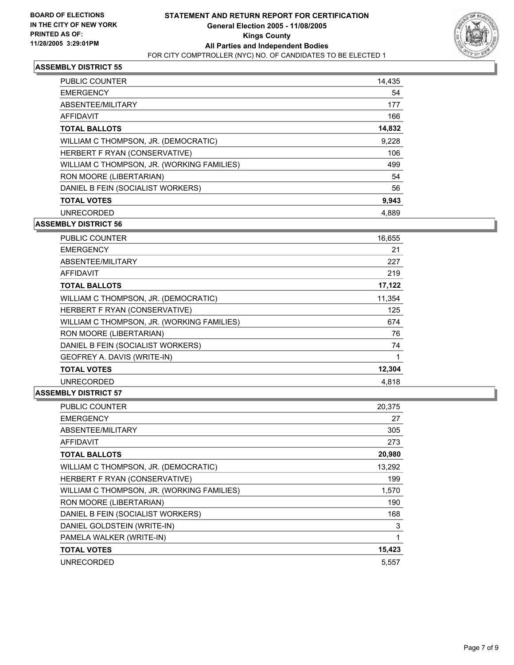

| PUBLIC COUNTER                             | 14,435 |
|--------------------------------------------|--------|
| <b>EMERGENCY</b>                           | 54     |
| ABSENTEE/MILITARY                          | 177    |
| AFFIDAVIT                                  | 166    |
| <b>TOTAL BALLOTS</b>                       | 14,832 |
| WILLIAM C THOMPSON, JR. (DEMOCRATIC)       | 9,228  |
| HERBERT F RYAN (CONSERVATIVE)              | 106    |
| WILLIAM C THOMPSON, JR. (WORKING FAMILIES) | 499    |
| RON MOORE (LIBERTARIAN)                    | 54     |
| DANIEL B FEIN (SOCIALIST WORKERS)          | 56     |
| <b>TOTAL VOTES</b>                         | 9,943  |
| <b>UNRECORDED</b>                          | 4,889  |

#### **ASSEMBLY DISTRICT 56**

| <b>PUBLIC COUNTER</b>                      | 16,655 |
|--------------------------------------------|--------|
| <b>EMERGENCY</b>                           | 21     |
| ABSENTEE/MILITARY                          | 227    |
| AFFIDAVIT                                  | 219    |
| <b>TOTAL BALLOTS</b>                       | 17,122 |
| WILLIAM C THOMPSON, JR. (DEMOCRATIC)       | 11,354 |
| HERBERT F RYAN (CONSERVATIVE)              | 125    |
| WILLIAM C THOMPSON, JR. (WORKING FAMILIES) | 674    |
| RON MOORE (LIBERTARIAN)                    | 76     |
| DANIEL B FEIN (SOCIALIST WORKERS)          | 74     |
| GEOFREY A. DAVIS (WRITE-IN)                |        |
| <b>TOTAL VOTES</b>                         | 12,304 |
| <b>UNRECORDED</b>                          | 4.818  |

| PUBLIC COUNTER                             | 20,375 |
|--------------------------------------------|--------|
| <b>EMERGENCY</b>                           | 27     |
| ABSENTEE/MILITARY                          | 305    |
| <b>AFFIDAVIT</b>                           | 273    |
| <b>TOTAL BALLOTS</b>                       | 20,980 |
| WILLIAM C THOMPSON, JR. (DEMOCRATIC)       | 13,292 |
| HERBERT F RYAN (CONSERVATIVE)              | 199    |
| WILLIAM C THOMPSON, JR. (WORKING FAMILIES) | 1,570  |
| RON MOORE (LIBERTARIAN)                    | 190    |
| DANIEL B FEIN (SOCIALIST WORKERS)          | 168    |
| DANIEL GOLDSTEIN (WRITE-IN)                | 3      |
| PAMELA WALKER (WRITE-IN)                   |        |
| <b>TOTAL VOTES</b>                         | 15,423 |
| <b>UNRECORDED</b>                          | 5.557  |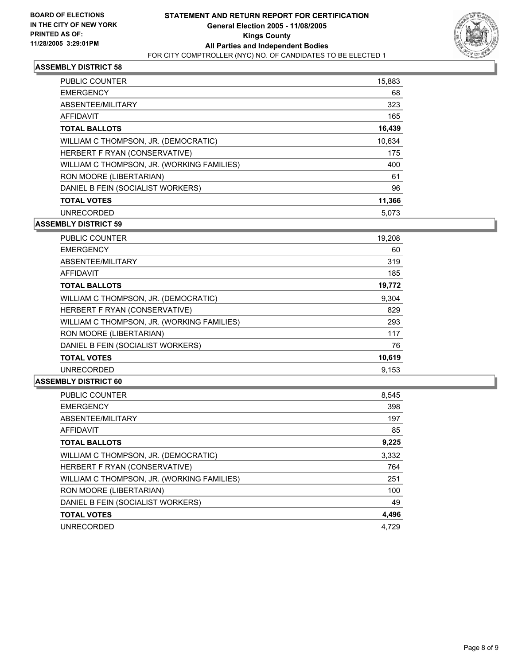

| PUBLIC COUNTER                             | 15,883 |
|--------------------------------------------|--------|
| <b>EMERGENCY</b>                           | 68     |
| ABSENTEE/MILITARY                          | 323    |
| AFFIDAVIT                                  | 165    |
| <b>TOTAL BALLOTS</b>                       | 16,439 |
| WILLIAM C THOMPSON, JR. (DEMOCRATIC)       | 10,634 |
| HERBERT F RYAN (CONSERVATIVE)              | 175    |
| WILLIAM C THOMPSON, JR. (WORKING FAMILIES) | 400    |
| RON MOORE (LIBERTARIAN)                    | 61     |
| DANIEL B FEIN (SOCIALIST WORKERS)          | 96     |
| <b>TOTAL VOTES</b>                         | 11,366 |
| <b>UNRECORDED</b>                          | 5.073  |

#### **ASSEMBLY DISTRICT 59**

| PUBLIC COUNTER                             | 19,208 |
|--------------------------------------------|--------|
| <b>EMERGENCY</b>                           | 60     |
| ABSENTEE/MILITARY                          | 319    |
| AFFIDAVIT                                  | 185    |
| <b>TOTAL BALLOTS</b>                       | 19,772 |
| WILLIAM C THOMPSON, JR. (DEMOCRATIC)       | 9,304  |
| HERBERT F RYAN (CONSERVATIVE)              | 829    |
| WILLIAM C THOMPSON, JR. (WORKING FAMILIES) | 293    |
| RON MOORE (LIBERTARIAN)                    | 117    |
| DANIEL B FEIN (SOCIALIST WORKERS)          | 76     |
| <b>TOTAL VOTES</b>                         | 10,619 |
| <b>UNRECORDED</b>                          | 9.153  |

| <b>PUBLIC COUNTER</b>                      | 8,545 |
|--------------------------------------------|-------|
| <b>EMERGENCY</b>                           | 398   |
| ABSENTEE/MILITARY                          | 197   |
| AFFIDAVIT                                  | 85    |
| <b>TOTAL BALLOTS</b>                       | 9,225 |
| WILLIAM C THOMPSON, JR. (DEMOCRATIC)       | 3,332 |
| HERBERT F RYAN (CONSERVATIVE)              | 764   |
| WILLIAM C THOMPSON, JR. (WORKING FAMILIES) | 251   |
| RON MOORE (LIBERTARIAN)                    | 100   |
| DANIEL B FEIN (SOCIALIST WORKERS)          | 49    |
| <b>TOTAL VOTES</b>                         | 4,496 |
| <b>UNRECORDED</b>                          | 4.729 |